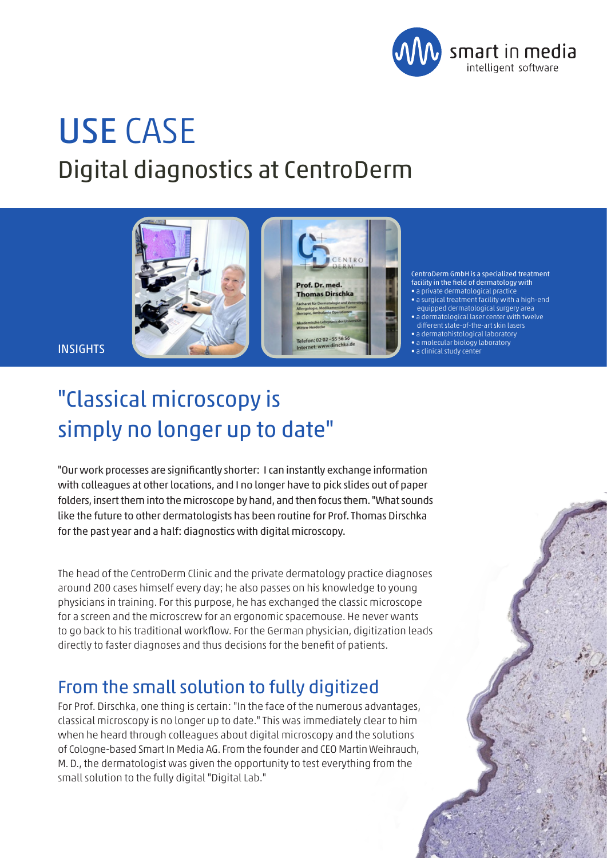

CentroDerm GmbH is a specialized treatment facility in the field of dermatology with  $\bullet$  a private dermatological practic • a surgical treatment facility with a high-end equipped dermatological surgery area • a dermatological laser center with twelve different state-of-the-art skin lasers • a dermatohistological laboratory • a molecular biology laboratory • a clinical study center

ENTRO

Prof. Dr. med. **Thomas Dirschka** 

Telefon: 02 02 - 55 56 56 dirschka.dr

# USE CASE Digital diagnostics at CentroDerm

**INSIGHTS** 

## "Classical microscopy is simply no longer up to date"

"Our work processes are significantly shorter: I can instantly exchange information with colleagues at other locations, and I no longer have to pick slides out of paper folders, insert them into the microscope by hand, and then focus them. "What sounds like the future to other dermatologists has been routine for Prof. Thomas Dirschka for the past year and a half: diagnostics with digital microscopy.

The head of the CentroDerm Clinic and the private dermatology practice diagnoses around 200 cases himself every day; he also passes on his knowledge to young physicians in training. For this purpose, he has exchanged the classic microscope for a screen and the microscrew for an ergonomic spacemouse. He never wants to go back to his traditional workflow. For the German physician, digitization leads directly to faster diagnoses and thus decisions for the benefit of patients.

## From the small solution to fully digitized

For Prof. Dirschka, one thing is certain: "In the face of the numerous advantages, classical microscopy is no longer up to date." This was immediately clear to him when he heard through colleagues about digital microscopy and the solutions of Cologne-based Smart In Media AG. From the founder and CEO Martin Weihrauch, M. D., the dermatologist was given the opportunity to test everything from the small solution to the fully digital "Digital Lab."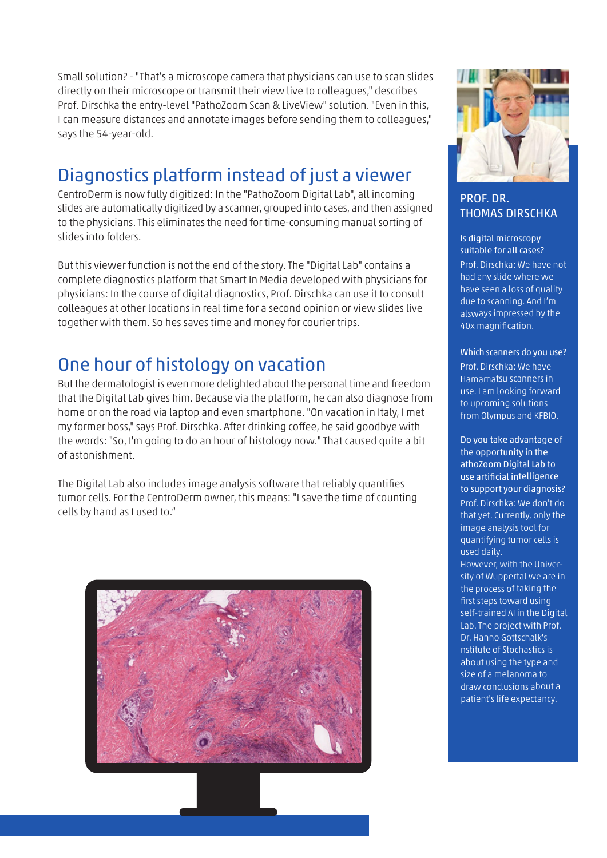Small solution? - "That's a microscope camera that physicians can use to scan slides directly on their microscope or transmit their view live to colleagues," describes Prof. Dirschka the entry-level "PathoZoom Scan & LiveView" solution. "Even in this, I can measure distances and annotate images before sending them to colleagues," says the 54-year-old.

## Diagnostics platform instead of just a viewer

CentroDerm is now fully digitized: In the "PathoZoom Digital Lab", all incoming slides are automatically digitized by a scanner, grouped into cases, and then assigned to the physicians. This eliminates the need for time-consuming manual sorting of slides into folders.

But this viewer function is not the end of the story. The "Digital Lab" contains a complete diagnostics platform that Smart In Media developed with physicians for physicians: In the course of digital diagnostics, Prof. Dirschka can use it to consult colleagues at other locations in real time for a second opinion or view slides live together with them. So hes saves time and money for courier trips.

## One hour of histology on vacation

But the dermatologist is even more delighted about the personal time and freedom that the Digital Lab gives him. Because via the platform, he can also diagnose from home or on the road via laptop and even smartphone. "On vacation in Italy, I met my former boss," says Prof. Dirschka. After drinking coffee, he said goodbye with the words: "So, I'm going to do an hour of histology now." That caused quite a bit of astonishment.

The Digital Lab also includes image analysis software that reliably quantifies tumor cells. For the CentroDerm owner, this means: "I save the time of counting cells by hand as I used to."





#### PROF. DR. THOMAS DIRSCHKA

Is digital microscopy suitable for all cases? Prof. Dirschka: We have not had any slide where we have seen a loss of quality due to scanning. And I'm alsways impressed by the 40x magnification.

#### Which scanners do you use?

Prof. Dirschka: We have Hamamatsu scanners in use. I am looking forward to upcoming solutions from Olympus and KFBIO.

Do you take advantage of the opportunity in the athoZoom Digital Lab to use artificial intelligence to support your diagnosis? Prof. Dirschka: We don't do that yet. Currently, only the image analysis tool for quantifying tumor cells is used daily. However, with the University of Wuppertal we are in the process of taking the first steps toward using self-trained AI in the Digital Lab. The project with Prof. Dr. Hanno Gottschalk's nstitute of Stochastics is about using the type and size of a melanoma to draw conclusions about a patient's life expectancy.